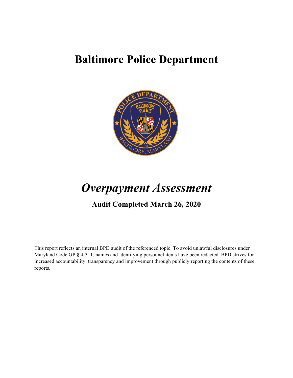# **Baltimore Police Department**



# *Overpayment Assessment*

# **Audit Completed March 26, 2020**

This report reflects an internal BPD audit of the referenced topic. To avoid unlawful disclosures under Maryland Code GP § 4-311, names and identifying personnel items have been redacted. BPD strives for increased accountability, transparency and improvement through publicly reporting the contents of these reports.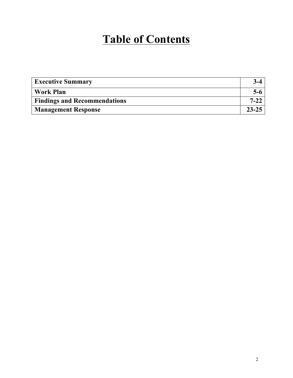# **Table of Contents**

| <b>Executive Summary</b>            |           |
|-------------------------------------|-----------|
| <b>Work Plan</b>                    | $5-6$     |
| <b>Findings and Recommendations</b> | $7 - 27$  |
| <b>Management Response</b>          | $23 - 25$ |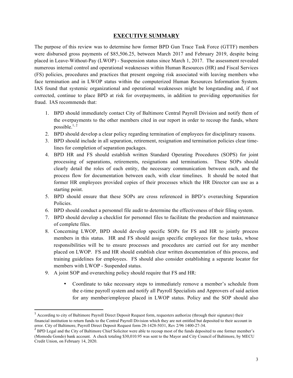#### **EXECUTIVE SUMMARY**

The purpose of this review was to determine how former BPD Gun Trace Task Force (GTTF) members were disbursed gross payments of \$85,506.25, between March 2017 and February 2019, despite being placed in Leave-Without-Pay (LWOP) - Suspension status since March 1, 2017. The assessment revealed numerous internal control and operational weaknesses within Human Resources (HR) and Fiscal Services (FS) policies, procedures and practices that present ongoing risk associated with leaving members who face termination and in LWOP status within the computerized Human Resources Information System. IAS found that systemic organizational and operational weaknesses might be longstanding and, if not corrected, continue to place BPD at risk for overpayments, in addition to providing opportunities for fraud. IAS recommends that:

- 1. BPD should immediately contact City of Baltimore Central Payroll Division and notify them of the overpayments to the other members cited in our report in order to recoup the funds, where possible.<sup>1, 2</sup>
- 2. BPD should develop a clear policy regarding termination of employees for disciplinary reasons.
- 3. BPD should include in all separation, retirement, resignation and termination policies clear timelines for completion of separation packages.
- 4. BPD HR and FS should establish written Standard Operating Procedures (SOPS) for joint processing of separations, retirements, resignations and terminations. These SOPs should clearly detail the roles of each entity, the necessary communication between each, and the process flow for documentation between each, with clear timelines. It should be noted that former HR employees provided copies of their processes which the HR Director can use as a starting point.
- 5. BPD should ensure that these SOPs are cross referenced in BPD's overarching Separation Policies.
- 6. BPD should conduct a personnel file audit to determine the effectiveness of their filing system.
- 7. BPD should develop a checklist for personnel files to facilitate the production and maintenance of complete files.
- 8. Concerning LWOP, BPD should develop specific SOPs for FS and HR to jointly process members in this status. HR and FS should assign specific employees for these tasks, whose responsibilities will be to ensure processes and procedures are carried out for any member placed on LWOP. FS and HR should establish clear written documentation of this process, and training guidelines for employees. FS should also consider establishing a separate locator for members with LWOP - Suspended status.
- 9. A joint SOP and overarching policy should require that FS and HR:

<u> 1989 - Johann Stein, markin film yn y breninn y breninn y breninn y breninn y breninn y breninn y breninn y b</u>

• Coordinate to take necessary steps to immediately remove a member's schedule from the e-time payroll system and notify all Payroll Specialists and Approvers of said action for any member/employee placed in LWOP status. Policy and the SOP should also

 $<sup>1</sup>$  According to city of Baltimore Payroll Direct Deposit Request form, requesters authorize (through their signature) their</sup> financial institution to return funds to the Central Payroll Division which they are not entitled but deposited to their account in error. City of Baltimore, Payroll Direct Deposit Request form 28-1428-5031, Rev 2/96 1400-27-34. <sup>2</sup> BPD Legal and the City of Baltimore Chief Solicitor were able to recoup most of the funds deposited to one former member's

<sup>(</sup>Momodu Gondo) bank account. A check totaling \$30,010.95 was sent to the Mayor and City Council of Baltimore, by MECU Credit Union, on February 14, 2020.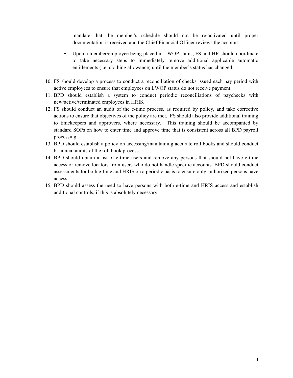mandate that the member's schedule should not be re-activated until proper documentation is received and the Chief Financial Officer reviews the account.

- Upon a member/employee being placed in LWOP status, FS and HR should coordinate to take necessary steps to immediately remove additional applicable automatic entitlements (i.e. clothing allowance) until the member's status has changed.
- 10. FS should develop a process to conduct a reconciliation of checks issued each pay period with active employees to ensure that employees on LWOP status do not receive payment.
- 11. BPD should establish a system to conduct periodic reconciliations of paychecks with new/active/terminated employees in HRIS.
- 12. FS should conduct an audit of the e-time process, as required by policy, and take corrective actions to ensure that objectives of the policy are met. FS should also provide additional training to timekeepers and approvers, where necessary. This training should be accompanied by standard SOPs on how to enter time and approve time that is consistent across all BPD payroll processing.
- 13. BPD should establish a policy on accessing/maintaining accurate roll books and should conduct bi-annual audits of the roll book process.
- 14. BPD should obtain a list of e-time users and remove any persons that should not have e-time access or remove locators from users who do not handle specific accounts. BPD should conduct assessments for both e-time and HRIS on a periodic basis to ensure only authorized persons have access.
- 15. BPD should assess the need to have persons with both e-time and HRIS access and establish additional controls, if this is absolutely necessary.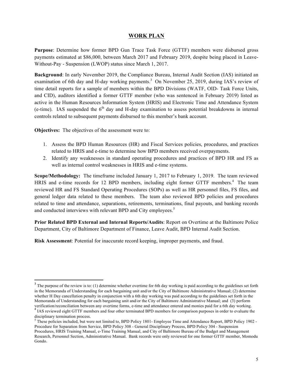#### **WORK PLAN**

**Purpose**: Determine how former BPD Gun Trace Task Force (GTTF) members were disbursed gross payments estimated at \$86,000, between March 2017 and February 2019, despite being placed in Leave-Without-Pay - Suspension (LWOP) status since March 1, 2017.

**Background**: In early November 2019, the Compliance Bureau, Internal Audit Section (IAS) initiated an examination of 6th day and H-day working payments.<sup>3</sup> On November 25, 2019, during IAS's review of time detail reports for a sample of members within the BPD Divisions (WATF, OID- Task Force Units, and CID), auditors identified a former GTTF member (who was sentenced in February 2019) listed as active in the Human Resources Information System (HRIS) and Electronic Time and Attendance System (e-time). IAS suspended the  $6<sup>th</sup>$  day and H-day examination to assess potential breakdowns in internal controls related to subsequent payments disbursed to this member's bank account.

**Objectives:** The objectives of the assessment were to:

- 1. Assess the BPD Human Resources (HR) and Fiscal Services policies, procedures, and practices related to HRIS and e-time to determine how BPD members received overpayments.
- 2. Identify any weaknesses in standard operating procedures and practices of BPD HR and FS as well as internal control weaknesses in HRIS and e-time systems.

**Scope/Methodology:** The timeframe included January 1, 2017 to February 1, 2019. The team reviewed HRIS and e-time records for 12 BPD members, including eight former GTTF members.<sup>4</sup> The team reviewed HR and FS Standard Operating Procedures (SOPs) as well as HR personnel files, FS files, and general ledger data related to these members. The team also reviewed BPD policies and procedures related to time and attendance, separations, retirements, terminations, final payouts, and banking records and conducted interviews with relevant BPD and City employees.<sup>5</sup>

**Prior Related BPD External and Internal Reports/Audits**: Report on Overtime at the Baltimore Police Department, City of Baltimore Department of Finance, Leave Audit, BPD Internal Audit Section.

**Risk Assessment**: Potential for inaccurate record keeping, improper payments, and fraud.

 

 $3$  The purpose of the review is to: (1) determine whether overtime for 6th day working is paid according to the guidelines set forth in the Memoranda of Understanding for each bargaining unit and/or the City of Baltimore Administrative Manual; (2) determine whether H Day cancellation penalty in conjunction with a 6th day working was paid according to the guidelines set forth in the Memoranda of Understanding for each bargaining unit and/or the City of Baltimore Administrative Manual; and (3) perform verification/reconciliation between any overtime forms, e-time and attendance entered and monies paid for a 6th day working.<br><sup>4</sup> IAS reviewed eight GTTF members and four other terminated BPD members for comparison purposes

disciplinary termination process.

 $<sup>5</sup>$  These policies included, but were not limited to, BPD Policy 1801- Employee Time and Attendance Report, BPD Policy 1902 -</sup> Procedure for Separation from Service, BPD Policy 308 - General Disciplinary Process, BPD Policy 304 - Suspension Procedures, HRIS Training Manual, e-Time Training Manual, and City of Baltimore Bureau of the Budget and Management Research, Personnel Section, Administrative Manual. Bank records were only reviewed for one former GTTF member, Momodu Gondo.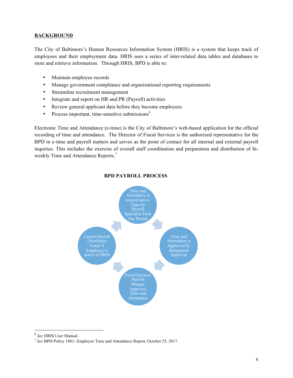#### **BACKGROUND**

The City of Baltimore's Human Resources Information System (HRIS) is a system that keeps track of employees and their employment data. HRIS uses a series of inter-related data tables and databases to store and retrieve information. Through HRIS, BPD is able to:

- Maintain employee records
- Manage government compliance and organizational reporting requirements
- Streamline recruitment management
- Integrate and report on HR and PR (Payroll) activities
- Review general applicant data before they become employees
- Process important, time-sensitive submissions $<sup>6</sup>$ </sup>

Electronic Time and Attendance (e-time) is the City of Baltimore's web-based application for the official recording of time and attendance. The Director of Fiscal Services is the authorized representative for the BPD in e-time and payroll matters and serves as the point of contact for all internal and external payroll inquiries. This includes the exercise of overall staff coordination and preparation and distribution of biweekly Time and Attendance Reports.<sup>7</sup>



#### **BPD PAYROLL PROCESS**

 

<sup>6</sup> *See* HRIS User Manual. 7 *See* BPD Policy 1801- Employee Time and Attendance Report, October 25, 2017.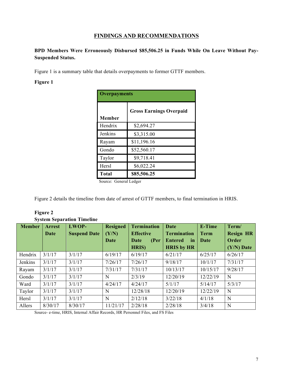# **FINDINGS AND RECOMMENDATIONS**

# **BPD Members Were Erroneously Disbursed \$85,506.25 in Funds While On Leave Without Pay-Suspended Status.**

Figure 1 is a summary table that details overpayments to former GTTF members.

#### **Figure 1**

| <b>Overpayments</b> |                                |  |  |  |  |  |
|---------------------|--------------------------------|--|--|--|--|--|
|                     | <b>Gross Earnings Overpaid</b> |  |  |  |  |  |
| Member              |                                |  |  |  |  |  |
| Hendrix             | \$2,694.27                     |  |  |  |  |  |
| Jenkins             | \$3,315.00                     |  |  |  |  |  |
| Rayam               | \$11,196.16                    |  |  |  |  |  |
| Gondo               | \$52,560.17                    |  |  |  |  |  |
| Taylor              | \$9,718.41                     |  |  |  |  |  |
| Hersl               | \$6,022.24                     |  |  |  |  |  |
| <b>Total</b>        | \$85,506.25                    |  |  |  |  |  |

Source: General Ledger

Figure 2 details the timeline from date of arrest of GTTF members, to final termination in HRIS.

| Figure |
|--------|
|--------|

|               |         | $\beta$ stem $\beta$ eparation Thierme |                 |                    |                      |               |                  |
|---------------|---------|----------------------------------------|-----------------|--------------------|----------------------|---------------|------------------|
| <b>Member</b> | Arrest  | LWOP-                                  | <b>Resigned</b> | <b>Termination</b> | <b>Date</b>          | <b>E-Time</b> | Term/            |
|               | Date    | <b>Suspend Date</b>                    | (Y/N)           | <b>Effective</b>   | <b>Termination</b>   | <b>Term</b>   | <b>Resign HR</b> |
|               |         |                                        | Date            | (Per<br>Date       | <b>Entered</b><br>in | Date          | Order            |
|               |         |                                        |                 | HRIS)              | <b>HRIS by HR</b>    |               | $(Y/N)$ Date     |
| Hendrix       | 3/1/17  | 3/1/17                                 | 6/19/17         | 6/19/17            | 6/21/17              | 6/25/17       | 6/26/17          |
| Jenkins       | 3/1/17  | 3/1/17                                 | 7/26/17         | 7/26/17            | 9/18/17              | 10/1/17       | 7/31/17          |
| Rayam         | 3/1/17  | 3/1/17                                 | 7/31/17         | 7/31/17            | 10/13/17             | 10/15/17      | 9/28/17          |
| Gondo         | 3/1/17  | 3/1/17                                 | N               | 2/3/19             | 12/20/19             | 12/22/19      | N                |
| Ward          | 3/1/17  | 3/1/17                                 | 4/24/17         | 4/24/17            | 5/1/17               | 5/14/17       | 5/3/17           |
| Taylor        | 3/1/17  | 3/1/17                                 | N               | 12/28/18           | 12/20/19             | 12/22/19      | N                |
| Hersl         | 3/1/17  | 3/1/17                                 | N               | 2/12/18            | 3/22/18              | 4/1/18        | N                |
| Allers        | 8/30/17 | 8/30/17                                | 11/21/17        | 2/28/18            | 2/28/18              | 3/4/18        | N                |

# **System Separation Timeline**

Source- e-time, HRIS, Internal Affair Records, HR Personnel Files, and FS Files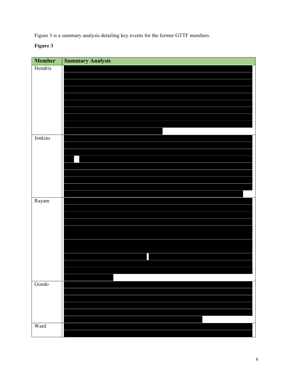Figure 3 is a summary analysis detailing key events for the former GTTF members.

# **Figure 3**

| Member                 | <b>Summary Analysis</b> |
|------------------------|-------------------------|
| Hendrix                |                         |
|                        |                         |
|                        |                         |
|                        |                         |
|                        |                         |
|                        |                         |
|                        |                         |
|                        |                         |
|                        |                         |
| Jenkins                |                         |
|                        |                         |
|                        |                         |
|                        |                         |
|                        |                         |
|                        |                         |
|                        |                         |
| $\operatorname{Rayam}$ |                         |
|                        |                         |
|                        |                         |
|                        |                         |
|                        |                         |
|                        |                         |
|                        |                         |
|                        |                         |
|                        |                         |
|                        |                         |
|                        |                         |
| Gondo                  |                         |
|                        |                         |
|                        |                         |
|                        |                         |
|                        |                         |
| Ward                   |                         |
|                        |                         |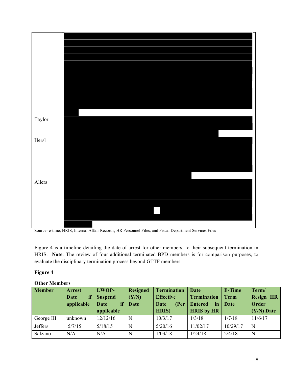

Source- e-time, HRIS, Internal Affair Records, HR Personnel Files, and Fiscal Department Services Files

Figure 4 is a timeline detailing the date of arrest for other members, to their subsequent termination in HRIS. **Note**: The review of four additional terminated BPD members is for comparison purposes, to evaluate the disciplinary termination process beyond GTTF members.

#### **Figure 4**

| <b>Member</b> | <b>Arrest</b> | LWOP-          | <b>Resigned</b> | <b>Termination</b> | Date                  | E-Time      | Term/            |
|---------------|---------------|----------------|-----------------|--------------------|-----------------------|-------------|------------------|
|               | if<br>Date    | <b>Suspend</b> | (Y/N)           | <b>Effective</b>   | <b>Termination</b>    | <b>Term</b> | <b>Resign HR</b> |
|               | applicable    | if<br>Date     | Date            | (Per<br>Date       | <b>Entered</b><br>in. | Date        | Order            |
|               |               | applicable     |                 | HRIS)              | <b>HRIS</b> by HR     |             | $(Y/N)$ Date     |
| George III    | unknown       | 12/12/16       | N               | 10/3/17            | 1/3/18                | 1/7/18      | 11/6/17          |
| Jeffers       | 5/7/15        | 5/18/15        | N               | 5/20/16            | 11/02/17              | 10/29/17    | N                |
| Salzano       | N/A           | N/A            | N               | 1/03/18            | 1/24/18               | 2/4/18      | N                |

#### **Other Members**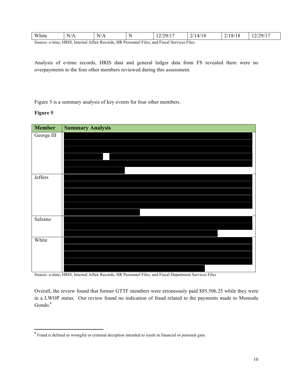| White | $\sim$ $\prime$<br>$\sqrt{ }$<br>N/A    | $  \cdot$<br>N/A       | . N.     | /20/17<br>$\mathbf{I}$<br>. . <i>. .</i> | $\sim$ $\mu$<br>. 144<br>1 U<br>- | /18/1<br>10<br>، ت | 2/29/17<br><i></i><br>$\overline{1}$ |
|-------|-----------------------------------------|------------------------|----------|------------------------------------------|-----------------------------------|--------------------|--------------------------------------|
|       | $\triangle$ CC $\triangle$<br>T T R T G | $\sim$<br>$\mathbf{r}$ | $\cdots$ | . <del>. .</del><br>$\sim$               | $\mathbf{r}$                      |                    |                                      |

Source- e-time, HRIS, Internal Affair Records, HR Personnel Files, and Fiscal Services Files

Analysis of e-time records, HRIS data and general ledger data from FS revealed there were no overpayments to the four other members reviewed during this assessment.

Figure 5 is a summary analysis of key events for four other members.

#### **Figure 5**



Source- e-time, HRIS, Internal Affair Records, HR Personnel Files, and Fiscal Department Services Files

Overall, the review found that former GTTF members were erroneously paid \$85,506.25 while they were in a LWOP status. Our review found no indication of fraud related to the payments made to Momodu Gondo.<sup>8</sup>

<u> 1989 - Johann Stein, markin film yn y breninn y breninn y breninn y breninn y breninn y breninn y breninn y b</u>

 $8$  Fraud is defined as wrongful or criminal deception intended to result in financial or personal gain.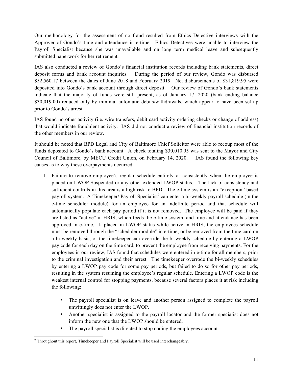Our methodology for the assessment of no fraud resulted from Ethics Detective interviews with the Approver of Gondo's time and attendance in e-time. Ethics Detectives were unable to interview the Payroll Specialist because she was unavailable and on long term medical leave and subsequently submitted paperwork for her retirement.

IAS also conducted a review of Gondo's financial institution records including bank statements, direct deposit forms and bank account inquiries. During the period of our review, Gondo was disbursed \$52,560.17 between the dates of June 2018 and February 2019. Net disbursements of \$31,819.95 were deposited into Gondo's bank account through direct deposit. Our review of Gondo's bank statements indicate that the majority of funds were still present, as of January 17, 2020 (bank ending balance \$30,019.00) reduced only by minimal automatic debits/withdrawals, which appear to have been set up prior to Gondo's arrest.

IAS found no other activity (i.e. wire transfers, debit card activity ordering checks or change of address) that would indicate fraudulent activity. IAS did not conduct a review of financial institution records of the other members in our review.

It should be noted that BPD Legal and City of Baltimore Chief Solicitor were able to recoup most of the funds deposited to Gondo's bank account. A check totaling \$30,010.95 was sent to the Mayor and City Council of Baltimore, by MECU Credit Union, on February 14, 2020. IAS found the following key causes as to why these overpayments occurred:

- 1. Failure to remove employee's regular schedule entirely or consistently when the employee is placed on LWOP Suspended or any other extended LWOP status. The lack of consistency and sufficient controls in this area is a high risk to BPD. The e-time system is an "exception" based payroll system. A Timekeeper/ Payroll Specialist<sup>9</sup> can enter a bi-weekly payroll schedule (in the e-time scheduler module) for an employee for an indefinite period and that schedule will automatically populate each pay period if it is not removed. The employee will be paid if they are listed as "active" in HRIS, which feeds the e-time system, and time and attendance has been approved in e-time. If placed in LWOP status while active in HRIS, the employees schedule must be removed through the "scheduler module" in e-time; or be removed from the time card on a bi-weekly basis; or the timekeeper can override the bi-weekly schedule by entering a LWOP pay code for each day on the time card, to prevent the employee from receiving payments. For the employees in our review, IAS found that schedules were entered in e-time for all members, prior to the criminal investigation and their arrest. The timekeeper overrode the bi-weekly schedules by entering a LWOP pay code for some pay periods, but failed to do so for other pay periods, resulting in the system resuming the employee's regular schedule. Entering a LWOP code is the weakest internal control for stopping payments, because several factors places it at risk including the following:
	- The payroll specialist is on leave and another person assigned to complete the payroll unwittingly does not enter the LWOP.
	- Another specialist is assigned to the payroll locator and the former specialist does not inform the new one that the LWOP should be entered.
	- The payroll specialist is directed to stop coding the employees account.

<sup>&</sup>lt;u> 1989 - Johann Stein, markin film yn y breninn y breninn y breninn y breninn y breninn y breninn y breninn y b</u> <sup>9</sup> Throughout this report, Timekeeper and Payroll Specialist will be used interchangeably.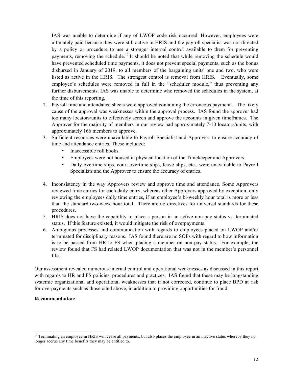IAS was unable to determine if any of LWOP code risk occurred. However, employees were ultimately paid because they were still active in HRIS and the payroll specialist was not directed by a policy or procedure to use a stronger internal control available to them for preventing payments, removing the schedule.<sup>10</sup> It should be noted that while removing the schedule would have prevented scheduled time payments, it does not prevent special payments, such as the bonus disbursed in January of 2019, to all members of the bargaining units' one and two, who were listed as active in the HRIS. The strongest control is removal from HRIS. Eventually, some employee's schedules were removed in full in the "scheduler module," thus preventing any further disbursements. IAS was unable to determine who removed the schedules in the system, at the time of this reporting.

- 2. Payroll time and attendance sheets were approved containing the erroneous payments. The likely cause of the approval was weaknesses within the approval process. IAS found the approver had too many locators/units to effectively screen and approve the accounts in given timeframes. The Approver for the majority of members in our review had approximately 7-10 locators/units, with approximately 166 members to approve.
- 3. Sufficient resources were unavailable to Payroll Specialist and Approvers to ensure accuracy of time and attendance entries. These included:
	- Inaccessible roll books.
	- Employees were not housed in physical location of the Timekeeper and Approvers.
	- Daily overtime slips, court overtime slips, leave slips, etc., were unavailable to Payroll Specialists and the Approver to ensure the accuracy of entries.
- 4. Inconsistency in the way Approvers review and approve time and attendance. Some Approvers reviewed time entries for each daily entry, whereas other Approvers approved by exception, only reviewing the employees daily time entries, if an employee's bi-weekly hour total is more or less than the standard two-week hour total. There are no directives for universal standards for these procedures.
- 5. HRIS does not have the capability to place a person in an active non-pay status vs. terminated status. If this feature existed, it would mitigate the risk of overpayments.
- 6. Ambiguous processes and communication with regards to employees placed on LWOP and/or terminated for disciplinary reasons. IAS found there are no SOPs with regard to how information is to be passed from HR to FS when placing a member on non-pay status. For example, the review found that FS had related LWOP documentation that was not in the member's personnel file.

Our assessment revealed numerous internal control and operational weaknesses as discussed in this report with regards to HR and FS policies, procedures and practices. IAS found that these may be longstanding systemic organizational and operational weaknesses that if not corrected, continue to place BPD at risk for overpayments such as those cited above, in addition to providing opportunities for fraud.

#### **Recommendation:**

 

 $10$  Terminating an employee in HRIS will cease all payments, but also places the employee in an inactive status whereby they no longer accrue any time benefits they may be entitled to.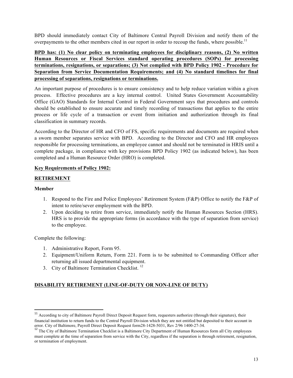BPD should immediately contact City of Baltimore Central Payroll Division and notify them of the overpayments to the other members cited in our report in order to recoup the funds, where possible.<sup>11</sup>

**BPD has: (1) No clear policy on terminating employees for disciplinary reasons, (2) No written Human Resources or Fiscal Services standard operating procedures (SOPs) for processing terminations, resignations, or separations; (3) Not complied with BPD Policy 1902 - Procedure for Separation from Service Documentation Requirements; and (4) No standard timelines for final processing of separations, resignations or terminations.** 

An important purpose of procedures is to ensure consistency and to help reduce variation within a given process. Effective procedures are a key internal control. United States Government Accountability Office (GAO) Standards for Internal Control in Federal Government says that procedures and controls should be established to ensure accurate and timely recording of transactions that applies to the entire process or life cycle of a transaction or event from initiation and authorization through its final classification in summary records.

According to the Director of HR and CFO of FS, specific requirements and documents are required when a sworn member separates service with BPD. According to the Director and CFO and HR employees responsible for processing terminations, an employee cannot and should not be terminated in HRIS until a complete package, in compliance with key provisions BPD Policy 1902 (as indicated below), has been completed and a Human Resource Order (HRO) is completed.

#### **Key Requirements of Policy 1902:**

#### **RETIREMENT**

#### **Member**

- 1. Respond to the Fire and Police Employees' Retirement System (F&P) Office to notify the F&P of intent to retire/sever employment with the BPD.
- 2. Upon deciding to retire from service, immediately notify the Human Resources Section (HRS). HRS is to provide the appropriate forms (in accordance with the type of separation from service) to the employee.

Complete the following:

<u> 1989 - Johann Stein, markin film yn y breninn y breninn y breninn y breninn y breninn y breninn y breninn y b</u>

- 1. Administrative Report, Form 95.
- 2. Equipment/Uniform Return, Form 221. Form is to be submitted to Commanding Officer after returning all issued departmental equipment.
- 3. City of Baltimore Termination Checklist.<sup>12</sup>

# **DISABILITY RETIREMENT (LINE-OF-DUTY OR NON-LINE OF DUTY)**

<sup>&</sup>lt;sup>11</sup> According to city of Baltimore Payroll Direct Deposit Request form, requesters authorize (through their signature), their financial institution to return funds to the Central Payroll Division which they are not entitled but deposited to their account in error. City of Baltimore, Payroll Direct Deposit Request form28-1428-5031, Rev 2/96 1400-27-34.<br><sup>12</sup> The City of Baltimore Termination Checklist is a Baltimore City Department of Human Resources form all City employees

must complete at the time of separation from service with the City, regardless if the separation is through retirement, resignation, or termination of employment.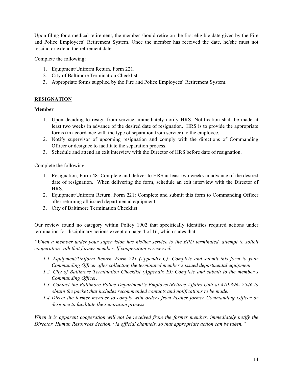Upon filing for a medical retirement, the member should retire on the first eligible date given by the Fire and Police Employees' Retirement System. Once the member has received the date, he/she must not rescind or extend the retirement date.

Complete the following:

- 1. Equipment/Uniform Return, Form 221.
- 2. City of Baltimore Termination Checklist.
- 3. Appropriate forms supplied by the Fire and Police Employees' Retirement System.

#### **RESIGNATION**

#### **Member**

- 1. Upon deciding to resign from service, immediately notify HRS. Notification shall be made at least two weeks in advance of the desired date of resignation. HRS is to provide the appropriate forms (in accordance with the type of separation from service) to the employee.
- 2. Notify supervisor of upcoming resignation and comply with the directions of Commanding Officer or designee to facilitate the separation process.
- 3. Schedule and attend an exit interview with the Director of HRS before date of resignation.

Complete the following:

- 1. Resignation, Form 48: Complete and deliver to HRS at least two weeks in advance of the desired date of resignation. When delivering the form, schedule an exit interview with the Director of HRS.
- 2. Equipment/Uniform Return, Form 221: Complete and submit this form to Commanding Officer after returning all issued departmental equipment.
- 3. City of Baltimore Termination Checklist.

Our review found no category within Policy 1902 that specifically identifies required actions under termination for disciplinary actions except on page 4 of 16, which states that:

*"When a member under your supervision has his/her service to the BPD terminated, attempt to solicit cooperation with that former member. If cooperation is received:*

- *1.1. Equipment/Uniform Return, Form 221 (Appendix C): Complete and submit this form to your Commanding Officer after collecting the terminated member's issued departmental equipment.*
- *1.2. City of Baltimore Termination Checklist (Appendix E): Complete and submit to the member's Commanding Officer.*
- *1.3. Contact the Baltimore Police Department's Employee/Retiree Affairs Unit at 410-396- 2546 to obtain the packet that includes recommended contacts and notifications to be made.*
- *1.4.Direct the former member to comply with orders from his/her former Commanding Officer or designee to facilitate the separation process.*

*When it is apparent cooperation will not be received from the former member, immediately notify the Director, Human Resources Section, via official channels, so that appropriate action can be taken."*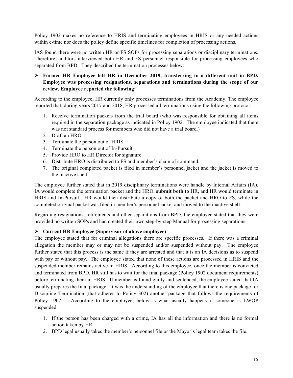Policy 1902 makes no reference to HRIS and terminating employees in HRIS or any needed actions within e-time nor does the policy define specific timelines for completion of processing actions.

IAS found there were no written HR or FS SOPs for processing separations or disciplinary terminations. Therefore, auditors interviewed both HR and FS personnel responsible for processing employees who separated from BPD. They described the termination processes below:

#### Ø **Former HR Employee left HR in December 2019, transferring to a different unit in BPD. Employee was processing resignations, separations and terminations during the scope of our review. Employee reported the following:**

According to the employee, HR currently only processes terminations from the Academy. The employee reported that, during years 2017 and 2018, HR processed all terminations using the following protocol:

- 1. Receive termination packets from the trial board (who was responsible for obtaining all items required in the separation package as indicated in Policy 1902. The employee indicated that there was not standard process for members who did not have a trial board.)
- 2. Draft an HRO.
- 3. Terminate the person out of HRIS.
- 4. Terminate the person out of In-Pursuit.
- 5. Provide HRO to HR Director for signature.
- 6. Distribute HRO is distributed to FS and member's chain of command.
- 7. The original completed packet is filed in member's personnel jacket and the jacket is moved to the inactive shelf.

The employee further stated that in 2019 disciplinary terminations were handle by Internal Affairs (IA). IA would complete the termination packet and the HRO, **submit both to** HR, and HR would terminate in HRIS and In-Pursuit. HR would then distribute a copy of both the packet and HRO to FS, while the completed original packet was filed in member's personnel jacket and moved to the inactive shelf.

Regarding resignations, retirements and other separations from BPD, the employee stated that they were provided no written SOPs and had created their own step-by-step Manual for processing separations.

#### Ø **Current HR Employee (Supervisor of above employee)**

The employee stated that for criminal allegations there are specific processes. If there was a criminal allegation the member may or may not be suspended and/or suspended without pay. The employee further stated that this process is the same if they are arrested and that it is an IA decisions as to suspend with pay or without pay. The employee stated that none of these actions are processed in HRIS and the suspended member remains active in HRIS. According to this employee, once the member is convicted and terminated from BPD, HR still has to wait for the final package (Policy 1902 document requirements) before terminating them in HRIS. If member is found guilty and sentenced, the employee stated that IA usually prepares the final package. It was the understanding of the employee that there is one package for Discipline Termination (that adheres to Policy 302) another package that follows the requirements of Policy 1902. According to the employee, below is what usually happens if someone is LWOP suspended:

- 1. If the person has been charged with a crime, IA has all the information and there is no formal action taken by HR.
- 2. BPD legal usually takes the member's personnel file or the Mayor's legal team takes the file.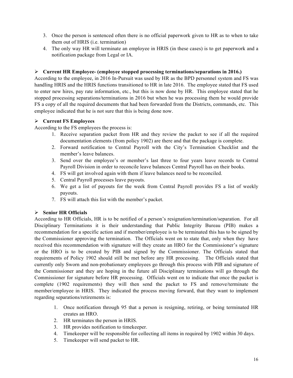- 3. Once the person is sentenced often there is no official paperwork given to HR as to when to take them out of HRIS (i.e. termination)
- 4. The only way HR will terminate an employee in HRIS (in these cases) is to get paperwork and a notification package from Legal or IA.

#### Ø **Current HR Employee- (employee stopped processing terminations/separations in 2016.)**

According to the employee, in 2016 In-Pursuit was used by HR as the BPD personnel system and FS was handling HRIS and the HRIS functions transitioned to HR in late 2016. The employee stated that FS used to enter new hires, pay rate information, etc., but this is now done by HR. This employee stated that he stopped processing separations/terminations in 2016 but when he was processing them he would provide FS a copy of all the required documents that had been forwarded from the Districts, commands, etc. This employee indicated that he is not sure that this is being done now.

### Ø **Current FS Employees**

According to the FS employees the process is:

- 1. Receive separation packet from HR and they review the packet to see if all the required documentation elements (from policy 1902) are there and that the package is complete.
- 2. Forward notification to Central Payroll with the City's Termination Checklist and the member's leave balances.
- 3. Send over the employee's or member's last three to four years leave records to Central Payroll Division in order to reconcile leave balances Central Payroll has on their books.
- 4. FS will get involved again with them if leave balances need to be reconciled.
- 5. Central Payroll processes leave payouts.
- 6. We get a list of payouts for the week from Central Payroll provides FS a list of weekly payouts.
- 7. FS will attach this list with the member's packet.

# Ø **Senior HR Officials**

According to HR Officials, HR is to be notified of a person's resignation/termination/separation. For all Disciplinary Terminations it is their understanding that Public Integrity Bureau (PIB) makes a recommendation for a specific action and if member/employee is to be terminated this has to be signed by the Commissioner approving the termination. The Officials went on to state that, only when they have received this recommendation with signature will they create an HRO for the Commissioner's signature or the HRO is to be created by PIB and signed by the Commissioner. The Officials stated that requirements of Policy 1902 should still be met before any HR processing. The Officials stated that currently only Sworn and non-probationary employees go through this process with PIB and signature of the Commissioner and they are hoping in the future all Disciplinary terminations will go through the Commissioner for signature before HR processing. Officials went on to indicate that once the packet is complete (1902 requirements) they will then send the packet to FS and remove/terminate the member/employee in HRIS. They indicated the process moving forward, that they want to implement regarding separations/retirements is:

- 1. Once notification through 95 that a person is resigning, retiring, or being terminated HR creates an HRO.
- 2. HR terminates the person in HRIS.
- 3. HR provides notification to timekeeper.
- 4. Timekeeper will be responsible for collecting all items in required by 1902 within 30 days.
- 5. Timekeeper will send packet to HR.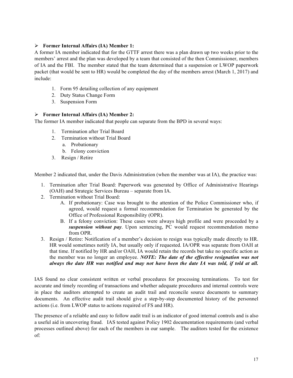#### Ø **Former Internal Affairs (IA) Member 1:**

A former IA member indicated that for the GTTF arrest there was a plan drawn up two weeks prior to the members' arrest and the plan was developed by a team that consisted of the then Commissioner, members of IA and the FBI. The member stated that the team determined that a suspension or LWOP paperwork packet (that would be sent to HR) would be completed the day of the members arrest (March 1, 2017) and include:

- 1. Form 95 detailing collection of any equipment
- 2. Duty Status Change Form
- 3. Suspension Form

#### Ø **Former Internal Affairs (IA) Member 2:**

The former IA member indicated that people can separate from the BPD in several ways:

- 1. Termination after Trial Board
- 2. Termination without Trial Board
	- a. Probationary
	- b. Felony conviction
- 3. Resign / Retire

Member 2 indicated that, under the Davis Administration (when the member was at IA), the practice was:

- 1. Termination after Trial Board: Paperwork was generated by Office of Administrative Hearings (OAH) and Strategic Services Bureau – separate from IA.
- 2. Termination without Trial Board:
	- A. If probationary: Case was brought to the attention of the Police Commissioner who, if agreed, would request a formal recommendation for Termination be generated by the Office of Professional Responsibility (OPR).
	- B. If a felony conviction: These cases were always high profile and were proceeded by a *suspension without pay*. Upon sentencing, PC would request recommendation memo from OPR.
- 3. Resign / Retire: Notification of a member's decision to resign was typically made directly to HR. HR would sometimes notify IA, but usually only if requested. IA/OPR was separate from OAH at that time. If notified by HR and/or OAH, IA would retain the records but take no specific action as the member was no longer an employee. *NOTE: The date of the effective resignation was not always the date HR was notified and may not have been the date IA was told, if told at all.*

IAS found no clear consistent written or verbal procedures for processing terminations. To test for accurate and timely recording of transactions and whether adequate procedures and internal controls were in place the auditors attempted to create an audit trail and reconcile source documents to summary documents. An effective audit trail should give a step-by-step documented history of the personnel actions (i.e. from LWOP status to actions required of FS and HR).

The presence of a reliable and easy to follow audit trail is an indicator of good internal controls and is also a useful aid in uncovering fraud. IAS tested against Policy 1902 documentation requirements (and verbal processes outlined above) for each of the members in our sample. The auditors tested for the existence of: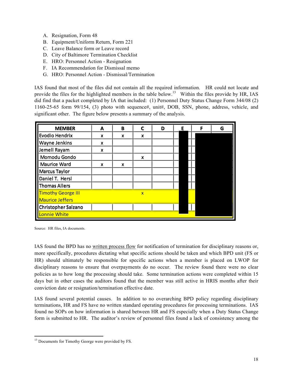- A. Resignation, Form 48
- B. Equipment/Uniform Return, Form 221
- C. Leave Balance form or Leave record
- D. City of Baltimore Termination Checklist
- E. HRO: Personnel Action Resignation
- F. IA Recommendation for Dismissal memo
- G. HRO: Personnel Action Dismissal/Termination

IAS found that most of the files did not contain all the required information. HR could not locate and provide the files for the highlighted members in the table below.<sup>13</sup> Within the files provide by HR, IAS did find that a packet completed by IA that included: (1) Personnel Duty Status Change Form 344/08 (2) 1160-25-65 form 99/154, (3) photo with sequence#, unit#, DOB, SSN, phone, address, vehicle, and significant other. The figure below presents a summary of the analysis.

| <b>MEMBER</b>             | A | B | C            | D | Е | F | G |
|---------------------------|---|---|--------------|---|---|---|---|
| Evodio Hendrix            | X | X | X            |   |   |   |   |
| <b>Wayne Jenkins</b>      | X |   |              |   |   |   |   |
| Jemell Rayam              | X |   |              |   |   |   |   |
| Momodu Gondo              |   |   | X            |   |   |   |   |
| <b>Maurice Ward</b>       | X | X |              |   |   |   |   |
| Marcus Taylor             |   |   |              |   |   |   |   |
| Daniel T. Hersl           |   |   |              |   |   |   |   |
| Thomas Allers             |   |   |              |   |   |   |   |
| <b>Timothy George III</b> |   |   | $\mathbf{x}$ |   |   |   |   |
| <b>Maurice Jeffers</b>    |   |   |              |   |   |   |   |
| Christopher Salzano       |   |   |              |   |   |   |   |
| Lonnie White              |   |   |              |   |   |   |   |

Source: HR files, IA documents.

IAS found the BPD has no written process flow for notification of termination for disciplinary reasons or, more specifically, procedures dictating what specific actions should be taken and which BPD unit (FS or HR) should ultimately be responsible for specific actions when a member is placed on LWOP for disciplinary reasons to ensure that overpayments do no occur. The review found there were no clear policies as to how long the processing should take. Some termination actions were completed within 15 days but in other cases the auditors found that the member was still active in HRIS months after their conviction date or resignation/termination effective date.

IAS found several potential causes. In addition to no overarching BPD policy regarding disciplinary terminations, HR and FS have no written standard operating procedures for processing terminations. IAS found no SOPs on how information is shared between HR and FS especially when a Duty Status Change form is submitted to HR. The auditor's review of personnel files found a lack of consistency among the

<sup>&</sup>lt;u> 1989 - Johann Stein, markin film yn y breninn y breninn y breninn y breninn y breninn y breninn y breninn y b</u> <sup>13</sup> Documents for Timothy George were provided by FS.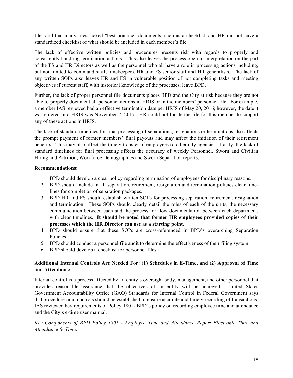files and that many files lacked "best practice" documents, such as a checklist, and HR did not have a standardized checklist of what should be included in each member's file.

The lack of effective written policies and procedures presents risk with regards to properly and consistently handling termination actions. This also leaves the process open to interpretation on the part of the FS and HR Directors as well as the personnel who all have a role in processing actions including, but not limited to command staff, timekeepers, HR and FS senior staff and HR generalists. The lack of any written SOPs also leaves HR and FS in vulnerable position of not completing tasks and meeting objectives if current staff, with historical knowledge of the processes, leave BPD.

Further, the lack of proper personnel file documents places BPD and the City at risk because they are not able to properly document all personnel actions in HRIS or in the members' personnel file. For example, a member IAS reviewed had an effective termination date per HRIS of May 20, 2016; however, the date it was entered into HRIS was November 2, 2017. HR could not locate the file for this member to support any of these actions in HRIS.

The lack of standard timelines for final processing of separations, resignations or terminations also affects the prompt payment of former members' final payouts and may affect the initiation of their retirement benefits. This may also affect the timely transfer of employees to other city agencies. Lastly, the lack of standard timelines for final processing affects the accuracy of weekly Personnel, Sworn and Civilian Hiring and Attrition, Workforce Demographics and Sworn Separation reports.

#### **Recommendations:**

- 1. BPD should develop a clear policy regarding termination of employees for disciplinary reasons.
- 2. BPD should include in all separation, retirement, resignation and termination policies clear timelines for completion of separation packages.
- 3. BPD HR and FS should establish written SOPs for processing separation, retirement, resignation and termination. These SOPs should clearly detail the roles of each of the units, the necessary communication between each and the process for flow documentation between each department, with clear timelines. **It should be noted that former HR employees provided copies of their processes which the HR Director can use as a starting point.**
- 4. BPD should ensure that these SOPs are cross-referenced in BPD's overarching Separation Policies.
- 5. BPD should conduct a personnel file audit to determine the effectiveness of their filing system.
- 6. BPD should develop a checklist for personnel files.

#### **Additional Internal Controls Are Needed For: (1) Schedules in E-Time, and (2) Approval of Time and Attendance**

Internal control is a process affected by an entity's oversight body, management, and other personnel that provides reasonable assurance that the objectives of an entity will be achieved. United States Government Accountability Office (GAO) Standards for Internal Control in Federal Government says that procedures and controls should be established to ensure accurate and timely recording of transactions. IAS reviewed key requirements of Policy 1801- BPD's policy on recording employee time and attendance and the City's e-time user manual.

*Key Components of BPD Policy 1801 - Employee Time and Attendance Report Electronic Time and Attendance (e-Time)*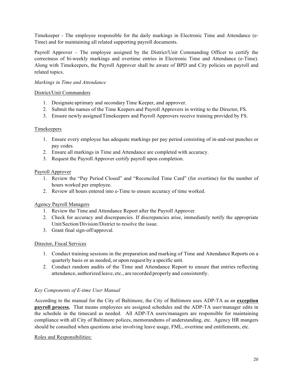Timekeeper - The employee responsible for the daily markings in Electronic Time and Attendance (e-Time) and for maintaining all related supporting payroll documents.

Payroll Approver – The employee assigned by the District/Unit Commanding Officer to certify the correctness of bi-weekly markings and overtime entries in Electronic Time and Attendance (e-Time). Along with Timekeepers, the Payroll Approver shall be aware of BPD and City policies on payroll and related topics.

#### *Markings in Time and Attendance*

#### District/Unit Commanders

- 1. Designate aprimary and secondary Time Keeper, and approver.
- 2. Submit the names of the Time Keepers and Payroll Approvers in writing to the Director, FS.
- 3. Ensure newly assigned Timekeepers and Payroll Approvers receive training provided by FS.

#### Timekeepers

- 1. Ensure every employee has adequate markings per pay period consisting of in-and-out punches or pay codes.
- 2. Ensure all markings in Time and Attendance are completed with accuracy.
- 3. Request the Payroll Approver certify payroll upon completion.

#### Payroll Approver

- 1. Review the "Pay Period Closed" and "Reconciled Time Card" (for overtime) for the number of hours worked per employee.
- 2. Review all hours entered into e-Time to ensure accuracy of time worked.

#### Agency Payroll Managers

- 1. Review the Time and Attendance Report after the Payroll Approver.
- 2. Check for accuracy and discrepancies. If discrepancies arise, immediately notify the appropriate Unit/Section/Division/District to resolve the issue.
- 3. Grant final sign-off/approval.

#### Director, Fiscal Services

- 1. Conduct training sessions in the preparation and marking of Time and Attendance Reports on a quarterly basis or as needed, or upon request by a specific unit.
- 2. Conduct random audits of the Time and Attendance Report to ensure that entries reflecting attendance, authorized leave, etc., are recorded properly and consistently.

#### *Key Components of E-time User Manual*

According to the manual for the City of Baltimore, the City of Baltimore uses ADP-TA as an **exception payroll process.** That means employees are assigned schedules and the ADP-TA user/manager edits in the schedule in the timecard as needed. All ADP-TA users/managers are responsible for maintaining compliance with all City of Baltimore polices, memorandums of understanding, etc. Agency HR mangers should be consulted when questions arise involving leave usage, FML, overtime and entitlements, etc.

#### Roles and Responsibilities: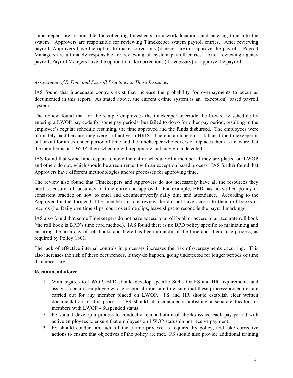Timekeepers are responsible for collecting timesheets from work locations and entering time into the system. Approvers are responsible for reviewing Timekeeper system payroll entries. After reviewing payroll, Approvers have the option to make corrections (if necessary) or approve the payroll. Payroll Managers are ultimately responsible for reviewing all system payroll entries. After reviewing agency payroll, Payroll Mangers have the option to make corrections (if necessary) or approve the payroll.

#### *Assessment of E-Time and Payroll Practices in These Instances*

IAS found that inadequate controls exist that increase the probability for overpayments to occur as documented in this report. As stated above, the current e-time system is an "exception" based payroll system.

The review found that for the sample employees the timekeeper overrode the bi-weekly schedule by entering a LWOP pay code for some pay periods, but failed to do so for other pay period, resulting in the employee's regular schedule resuming, the time approved and the funds disbursed. The employees were ultimately paid because they were still active in HRIS. There is an inherent risk that if the timekeeper is out or out for an extended period of time and the timekeeper who covers or replaces them is unaware that the member is on LWOP, their schedule will repopulate and may go undetected.

IAS found that some timekeepers remove the entire schedule of a member if they are placed on LWOP and others do not, which should be a requirement with an exception based process. IAS further found that Approvers have different methodologies and/or processes for approving time.

The review also found that Timekeepers and Approvers do not necessarily have all the resources they need to ensure full accuracy of time entry and approval. For example, BPD has no written policy or consistent practice on how to enter and document/verify daily time and attendance. According to the Approver for the former GTTF members in our review, he did not have access to their roll books or records (i.e. Daily overtime slips, court overtime slips, leave slips) to reconcile the payroll markings.

IAS also found that some Timekeepers do not have access to a roll book or access to an accurate roll book (the roll book is BPD's time card method). IAS found there is no BPD policy specific to maintaining and ensuring the accuracy of roll books and there has been no audit of the time and attendance process, as required by Policy 1801.

The lack of effective internal controls in processes increases the risk of overpayments occurring. This also increases the risk of these occurrences, if they do happen, going undetected for longer periods of time than necessary.

#### **Recommendations:**

- 1. With regards to LWOP, BPD should develop specific SOPs for FS and HR requirements and assign a specific employee whose responsibilities are to ensure that these process/procedures are carried out for any member placed on LWOP. FS and HR should establish clear written documentation of this process. FS should also consider establishing a separate locator for members with LWOP - Suspended status.
- 2. FS should develop a process to conduct a reconciliation of checks issued each pay period with active employees to ensure that employees on LWOP status do not receive payment.
- 3. FS should conduct an audit of the e-time process, as required by policy, and take corrective actions to ensure that objectives of the policy are met. FS should also provide additional training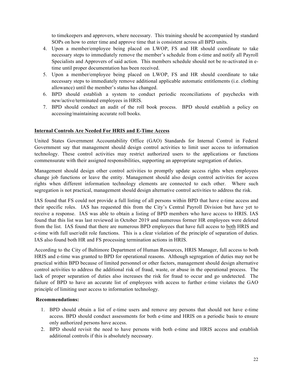to timekeepers and approvers, where necessary. This training should be accompanied by standard SOPs on how to enter time and approve time that is consistent across all BPD units.

- 4. Upon a member/employee being placed on LWOP, FS and HR should coordinate to take necessary steps to immediately remove the member's schedule from e-time and notify all Payroll Specialists and Approvers of said action. This members schedule should not be re-activated in etime until proper documentation has been received.
- 5. Upon a member/employee being placed on LWOP, FS and HR should coordinate to take necessary steps to immediately remove additional applicable automatic entitlements (i.e. clothing allowance) until the member's status has changed.
- 6. BPD should establish a system to conduct periodic reconciliations of paychecks with new/active/terminated employees in HRIS.
- 7. BPD should conduct an audit of the roll book process. BPD should establish a policy on accessing/maintaining accurate roll books.

#### **Internal Controls Are Needed For HRIS and E-Time Access**

United States Government Accountability Office (GAO) Standards for Internal Control in Federal Government say that management should design control activities to limit user access to information technology. These control activities may restrict authorized users to the applications or functions commensurate with their assigned responsibilities, supporting an appropriate segregation of duties.

Management should design other control activities to promptly update access rights when employees change job functions or leave the entity. Management should also design control activities for access rights when different information technology elements are connected to each other. Where such segregation is not practical, management should design alternative control activities to address the risk.

IAS found that FS could not provide a full listing of all persons within BPD that have e-time access and their specific roles. IAS has requested this from the City's Central Payroll Division but have yet to receive a response. IAS was able to obtain a listing of BPD members who have access to HRIS. IAS found that this list was last reviewed in October 2019 and numerous former HR employees were deleted from the list. IAS found that there are numerous BPD employees that have full access to both HRIS and e-time with full user/edit role functions. This is a clear violation of the principle of separation of duties. IAS also found both HR and FS processing termination actions in HRIS.

According to the City of Baltimore Department of Human Resources, HRIS Manager, full access to both HRIS and e-time was granted to BPD for operational reasons. Although segregation of duties may not be practical within BPD because of limited personnel or other factors, management should design alternative control activities to address the additional risk of fraud, waste, or abuse in the operational process. The lack of proper separation of duties also increases the risk for fraud to occur and go undetected. The failure of BPD to have an accurate list of employees with access to further e-time violates the GAO principle of limiting user access to information technology.

#### **Recommendations:**

- 1. BPD should obtain a list of e-time users and remove any persons that should not have e-time access. BPD should conduct assessments for both e-time and HRIS on a periodic basis to ensure only authorized persons have access.
- 2. BPD should revisit the need to have persons with both e-time and HRIS access and establish additional controls if this is absolutely necessary.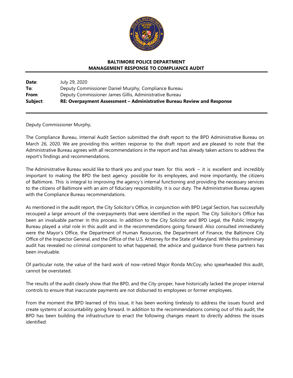

#### **BALTIMORE POLICE DEPARTMENT MANAGEMENT RESPONSE TO COMPLIANCE AUDIT**

| Date:    | July 29, 2020                                                          |
|----------|------------------------------------------------------------------------|
| To:      | Deputy Commissioner Daniel Murphy, Compliance Bureau                   |
| From:    | Deputy Commissioner James Gillis, Administrative Bureau                |
| Subject: | RE: Overpayment Assessment – Administrative Bureau Review and Response |

Deputy Commissioner Murphy,

The Compliance Bureau, Internal Audit Section submitted the draft report to the BPD Administrative Bureau on March 26, 2020. We are providing this written response to the draft report and are pleased to note that the Administrative Bureau agrees with all recommendations in the report and has already taken actions to address the report's findings and recommendations.

The Administrative Bureau would like to thank you and your team for this work – it is excellent and incredibly important to making the BPD the best agency possible for its employees, and more importantly, the citizens of Baltimore. This is integral to improving the agency's internal functioning and providing the necessary services to the citizens of Baltimore with an aim of fiduciary responsibility. It is our duty. The Administrative Bureau agrees with the Compliance Bureau recommendations.

As mentioned in the audit report, the City Solicitor's Office, in conjunction with BPD Legal Section, has successfully recouped a large amount of the overpayments that were identified in the report. The City Solicitor's Office has been an invaluable partner in this process. In addition to the City Solicitor and BPD Legal, the Public Integrity Bureau played a vital role in this audit and in the recommendations going forward. Also consulted immediately were the Mayor's Office, the Department of Human Resources, the Department of Finance, the Baltimore City Office of the Inspector General, and the Office of the U.S. Attorney for the State of Maryland. While this preliminary audit has revealed no criminal component to what happened, the advice and guidance from these partners has been invaluable.

Of particular note, the value of the hard work of now-retired Major Ronda McCoy, who spearheaded this audit, cannot be overstated.

The results of the audit clearly show that the BPD, and the City-proper, have historically lacked the proper internal controls to ensure that inaccurate payments are not disbursed to employees or former employees.

From the moment the BPD learned of this issue, it has been working tirelessly to address the issues found and create systems of accountability going forward. In addition to the recommendations coming out of this audit, the BPD has been building the infrastructure to enact the following changes meant to directly address the issues identified: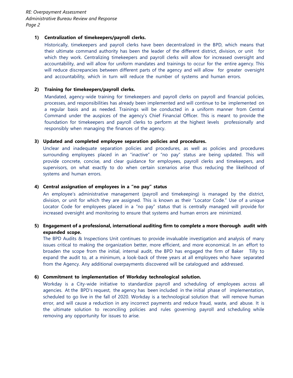*RE: Overpayment Assessment Administrative Bureau Review and Response Page 2*

#### **1) Centralization of timekeepers/payroll clerks.**

Historically, timekeepers and payroll clerks have been decentralized in the BPD, which means that their ultimate command authority has been the leader of the different district, division, or unit for which they work. Centralizing timekeepers and payroll clerks will allow for increased oversight and accountability, and will allow for uniform mandates and trainings to occur for the entire agency. This will reduce discrepancies between different parts of the agency and will allow for greater oversight and accountability, which in turn will reduce the number of systems and human errors.

#### **2) Training for timekeepers/payroll clerks.**

Mandated, agency-wide training for timekeepers and payroll clerks on payroll and financial policies, processes, and responsibilities has already been implemented and will continue to be implemented on a regular basis and as needed. Trainings will be conducted in a uniform manner from Central Command under the auspices of the agency's Chief Financial Officer. This is meant to provide the foundation for timekeepers and payroll clerks to perform at the highest levels professionally and responsibly when managing the finances of the agency.

#### **3) Updated and completed employee separation policies and procedures.**

Unclear and inadequate separation policies and procedures, as well as policies and procedures surrounding employees placed in an "inactive" or "no pay" status are being updated. This will provide concrete, concise, and clear guidance for employees, payroll clerks and timekeepers, and supervisors, on what exactly to do when certain scenarios arise thus reducing the likelihood of systems and human errors.

#### **4) Central assignation of employees in a "no pay" status**

An employee's administrative management (payroll and timekeeping) is managed by the district, division, or unit for which they are assigned. This is known as their "Locator Code." Use of a unique Locator Code for employees placed in a "no pay" status that is centrally managed will provide for increased oversight and monitoring to ensure that systems and human errors are minimized.

#### **5) Engagement of a professional, international auditing firm to complete a more thorough audit with expanded scope.**

The BPD Audits & Inspections Unit continues to provide invaluable investigation and analysis of many issues critical to making the organization better, more efficient, and more economical. In an effort to broaden the scope from the initial, internal audit, the BPD has engaged the firm of Baker Tilly to expand the audit to, at a minimum, a look-back of three years at all employees who have separated from the Agency. Any additional overpayments discovered will be catalogued and addressed.

#### **6) Commitment to implementation of Workday technological solution.**

Workday is a City-wide initiative to standardize payroll and scheduling of employees across all agencies. At the BPD's request, the agency has been included in the initial phase of implementation, scheduled to go live in the fall of 2020. Workday is a technological solution that will remove human error, and will cause a reduction in any incorrect payments and reduce fraud, waste, and abuse. It is the ultimate solution to reconciling policies and rules governing payroll and scheduling while removing any opportunity for issues to arise.